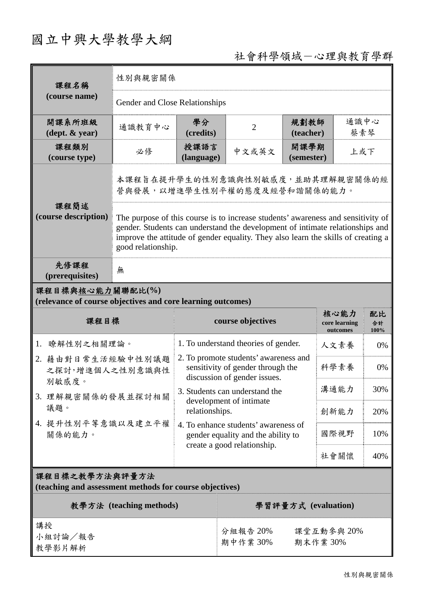# 國立中興大學教學大綱

# 社會科學領域-心理與教育學群

| 課程名稱<br>(course name)                                                           | 性別與親密關係                                                                                                                                                                                                                                                                      |                                                                                                            |                                                                                                           |                                   |                  |     |
|---------------------------------------------------------------------------------|------------------------------------------------------------------------------------------------------------------------------------------------------------------------------------------------------------------------------------------------------------------------------|------------------------------------------------------------------------------------------------------------|-----------------------------------------------------------------------------------------------------------|-----------------------------------|------------------|-----|
|                                                                                 | Gender and Close Relationships                                                                                                                                                                                                                                               |                                                                                                            |                                                                                                           |                                   |                  |     |
| 開課系所班級<br>$(\text{dept.} \& \text{ year})$                                      | 通識教育中心                                                                                                                                                                                                                                                                       | 學分<br>(credits)                                                                                            | $\overline{2}$                                                                                            | 規劃教師<br>(teacher)                 | 通識中心<br>蔡素琴      |     |
| 課程類別<br>(course type)                                                           | 必修                                                                                                                                                                                                                                                                           | 授課語言<br>開課學期<br>中文或英文<br>(language)<br>(semester)                                                          |                                                                                                           | 上或下                               |                  |     |
|                                                                                 | 本課程旨在提升學生的性別意識與性別敏感度,並助其理解親密關係的經<br>營與發展,以增進學生性別平權的態度及經營和諧關係的能力。                                                                                                                                                                                                             |                                                                                                            |                                                                                                           |                                   |                  |     |
| 課程簡述<br>(course description)                                                    | The purpose of this course is to increase students' awareness and sensitivity of<br>gender. Students can understand the development of intimate relationships and<br>improve the attitude of gender equality. They also learn the skills of creating a<br>good relationship. |                                                                                                            |                                                                                                           |                                   |                  |     |
| 先修課程<br>(prerequisites)                                                         | 無                                                                                                                                                                                                                                                                            |                                                                                                            |                                                                                                           |                                   |                  |     |
| 課程目標與核心能力關聯配比(%)<br>(relevance of course objectives and core learning outcomes) |                                                                                                                                                                                                                                                                              |                                                                                                            |                                                                                                           |                                   |                  |     |
| 課程目標                                                                            |                                                                                                                                                                                                                                                                              | course objectives                                                                                          |                                                                                                           | 核心能力<br>core learning<br>outcomes | 配比<br>合計<br>100% |     |
| 瞭解性別之相關理論。<br>1.                                                                |                                                                                                                                                                                                                                                                              | 1. To understand theories of gender.                                                                       |                                                                                                           | 人文素養                              | 0%               |     |
| 2. 藉由對日常生活經驗中性別議題<br>之探討,增進個人之性別意識與性<br>別敏感度。                                   |                                                                                                                                                                                                                                                                              | 2. To promote students' awareness and<br>sensitivity of gender through the<br>discussion of gender issues. |                                                                                                           |                                   | 科學素養             | 0%  |
|                                                                                 | 3. 理解親密關係的發展並探討相關                                                                                                                                                                                                                                                            |                                                                                                            | 3. Students can understand the                                                                            |                                   |                  | 30% |
| 議題。                                                                             |                                                                                                                                                                                                                                                                              | development of intimate<br>relationships.                                                                  |                                                                                                           | 創新能力                              | 20%              |     |
| 關係的能力。                                                                          | 4. 提升性別平等意識以及建立平權                                                                                                                                                                                                                                                            |                                                                                                            | 4. To enhance students' awareness of<br>gender equality and the ability to<br>create a good relationship. |                                   | 國際視野             | 10% |
|                                                                                 |                                                                                                                                                                                                                                                                              |                                                                                                            |                                                                                                           | 社會關懷                              | 40%              |     |
| 課程目標之教學方法與評量方法<br>(teaching and assessment methods for course objectives)       |                                                                                                                                                                                                                                                                              |                                                                                                            |                                                                                                           |                                   |                  |     |
| 教學方法 (teaching methods)                                                         |                                                                                                                                                                                                                                                                              |                                                                                                            | 學習評量方式 (evaluation)                                                                                       |                                   |                  |     |
| 講授<br>小組討論/報告<br>教學影片解析                                                         |                                                                                                                                                                                                                                                                              |                                                                                                            | 分組報告 20%<br>課堂互動參與 20%<br>期末作業30%<br>期中作業30%                                                              |                                   |                  |     |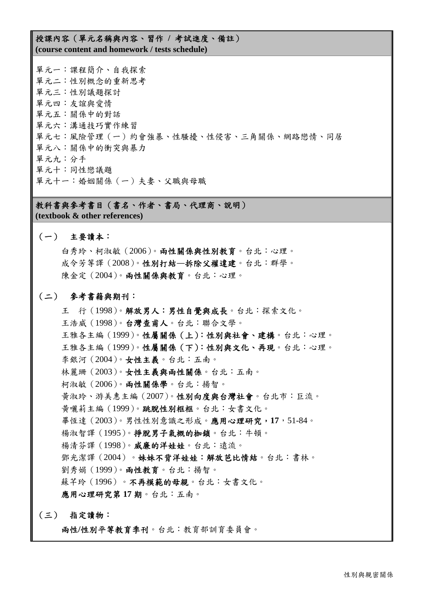#### 授課內容(單元名稱與內容、習作 **/** 考試進度、備註) **(course content and homework / tests schedule)**

單元一:課程簡介、自我探索 單元二:性別概念的重新思考 單元三:性別議題探討 單元四:友誼與愛情 單元五:關係中的對話 單元六:溝通技巧實作練習 單元七:風險管理(一)約會強暴、性騷擾、性侵害、三角關係、網路戀情、同居 單元八:關係中的衝突與暴力 單元九:分手 單元十:同性戀議題 單元十一:婚姻關係(一)夫妻、父職與母職

教科書與參考書目(書名、作者、書局、代理商、說明) **(textbook & other references)**

#### (一) 主要讀本:

白秀玲、柯淑敏(2006)。兩性關係與性別教育。台北:心理。 成令芳等譯(2008)。性別打結—拆除父權違建。台北:群學。 陳金定(2004)。兩性關係與教育。台北:心理。

#### (二) 參考書籍與期刊:

王 行(1998)。解放男人:男性自覺與成長。台北:探索文化。 王浩威(1998)。台灣查甫人。台北:聯合文學。 王雅各主編(1999)。性屬關係(上):性別與社會、建構。台北:心理。 王雅各主編(1999)。性屬關係(下):性別與文化、再現。台北:心理。 李銀河(2004)。女性主義。台北:五南。 林麗珊(2003)。女性主義與兩性關係。台北:五南。 柯淑敏(2006)。兩性關係學。台北:揚智。 黃淑玲、游美惠主編(2007)。性別向度與台灣社會。台北市:巨流。 黃囇莉主編(1999)。跳脫性別框框。台北:女書文化。 畢恆達(2003)。男性性別意識之形成。應用心理研究,**17**,51-84。 楊淑智譯(1995)。掙脫男子氣概的枷鎖。台北:牛頓。 楊清芬譯(1998)。威廉的洋娃娃。台北:遠流。 鄧光潔譯(2004)。妹妹不背洋娃娃:解放芭比情結。台北:書林。 劉秀娟(1999)。兩性教育。台北:揚智。 蘇芊玲(1996)。不再模範的母親。台北:女書文化。 應用心理研究第 **17** 期。台北:五南。

#### (三) 指定讀物:

兩性**/**性別平等教育季刊。台北:教育部訓育委員會。